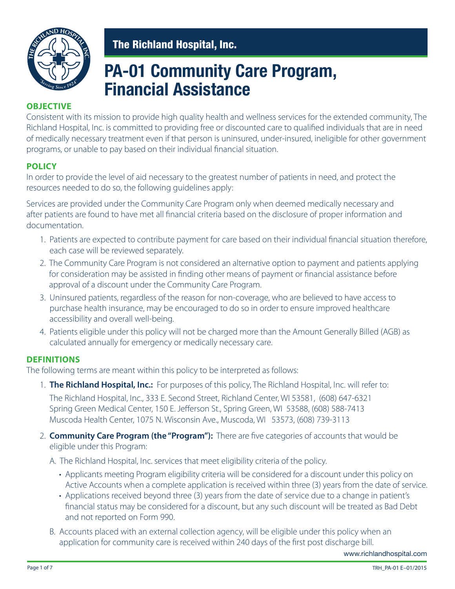

# **PA-01 Community Care Program, Financial Assistance**

#### **OBJECTIVE**

Consistent with its mission to provide high quality health and wellness services for the extended community, The Richland Hospital, Inc. is committed to providing free or discounted care to qualified individuals that are in need of medically necessary treatment even if that person is uninsured, under-insured, ineligible for other government programs, or unable to pay based on their individual financial situation.

### **POLICY**

In order to provide the level of aid necessary to the greatest number of patients in need, and protect the resources needed to do so, the following guidelines apply:

Services are provided under the Community Care Program only when deemed medically necessary and after patients are found to have met all financial criteria based on the disclosure of proper information and documentation.

- 1. Patients are expected to contribute payment for care based on their individual financial situation therefore, each case will be reviewed separately.
- 2. The Community Care Program is not considered an alternative option to payment and patients applying for consideration may be assisted in finding other means of payment or financial assistance before approval of a discount under the Community Care Program.
- 3. Uninsured patients, regardless of the reason for non-coverage, who are believed to have access to purchase health insurance, may be encouraged to do so in order to ensure improved healthcare accessibility and overall well-being.
- 4. Patients eligible under this policy will not be charged more than the Amount Generally Billed (AGB) as calculated annually for emergency or medically necessary care.

#### **DEFINITIONS**

The following terms are meant within this policy to be interpreted as follows:

1. **The Richland Hospital, Inc.:** For purposes of this policy, The Richland Hospital, Inc. will refer to:

The Richland Hospital, Inc., 333 E. Second Street, Richland Center, WI 53581, (608) 647-6321 Spring Green Medical Center, 150 E. Jefferson St., Spring Green, WI 53588, (608) 588-7413 Muscoda Health Center, 1075 N. Wisconsin Ave., Muscoda, WI 53573, (608) 739-3113

- 2. **Community Care Program (the "Program"):** There are five categories of accounts that would be eligible under this Program:
	- A. The Richland Hospital, Inc. services that meet eligibility criteria of the policy.
		- Applicants meeting Program eligibility criteria will be considered for a discount under this policy on Active Accounts when a complete application is received within three (3) years from the date of service.
		- Applications received beyond three (3) years from the date of service due to a change in patient's financial status may be considered for a discount, but any such discount will be treated as Bad Debt and not reported on Form 990.
	- B. Accounts placed with an external collection agency, will be eligible under this policy when an application for community care is received within 240 days of the first post discharge bill.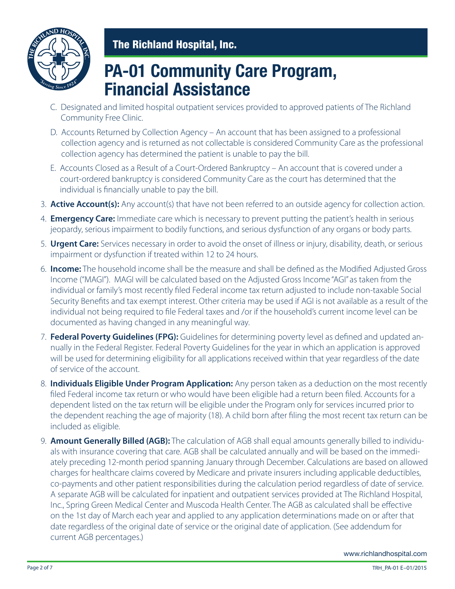

# **PA-01 Community Care Program, Financial Assistance**

- C. Designated and limited hospital outpatient services provided to approved patients of The Richland Community Free Clinic.
- D. Accounts Returned by Collection Agency An account that has been assigned to a professional collection agency and is returned as not collectable is considered Community Care as the professional collection agency has determined the patient is unable to pay the bill.
- E. Accounts Closed as a Result of a Court-Ordered Bankruptcy An account that is covered under a court-ordered bankruptcy is considered Community Care as the court has determined that the individual is financially unable to pay the bill.
- 3. **Active Account(s):** Any account(s) that have not been referred to an outside agency for collection action.
- 4. **Emergency Care:** Immediate care which is necessary to prevent putting the patient's health in serious jeopardy, serious impairment to bodily functions, and serious dysfunction of any organs or body parts.
- 5. **Urgent Care:** Services necessary in order to avoid the onset of illness or injury, disability, death, or serious impairment or dysfunction if treated within 12 to 24 hours.
- 6. **Income:** The household income shall be the measure and shall be defined as the Modified Adjusted Gross Income ("MAGI"). MAGI will be calculated based on the Adjusted Gross Income "AGI" as taken from the individual or family's most recently filed Federal income tax return adjusted to include non-taxable Social Security Benefits and tax exempt interest. Other criteria may be used if AGI is not available as a result of the individual not being required to file Federal taxes and /or if the household's current income level can be documented as having changed in any meaningful way.
- 7. **Federal Poverty Guidelines (FPG):** Guidelines for determining poverty level as defined and updated annually in the Federal Register. Federal Poverty Guidelines for the year in which an application is approved will be used for determining eligibility for all applications received within that year regardless of the date of service of the account.
- 8. **Individuals Eligible Under Program Application:** Any person taken as a deduction on the most recently filed Federal income tax return or who would have been eligible had a return been filed. Accounts for a dependent listed on the tax return will be eligible under the Program only for services incurred prior to the dependent reaching the age of majority (18). A child born after filing the most recent tax return can be included as eligible.
- 9. **Amount Generally Billed (AGB):** The calculation of AGB shall equal amounts generally billed to individuals with insurance covering that care. AGB shall be calculated annually and will be based on the immediately preceding 12-month period spanning January through December. Calculations are based on allowed charges for healthcare claims covered by Medicare and private insurers including applicable deductibles, co-payments and other patient responsibilities during the calculation period regardless of date of service. A separate AGB will be calculated for inpatient and outpatient services provided at The Richland Hospital, Inc., Spring Green Medical Center and Muscoda Health Center. The AGB as calculated shall be effective on the 1st day of March each year and applied to any application determinations made on or after that date regardless of the original date of service or the original date of application. (See addendum for current AGB percentages.)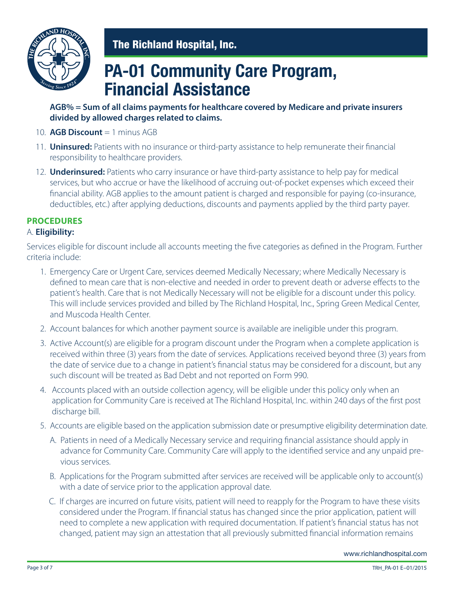

# **PA-01 Community Care Program, Financial Assistance**

### **AGB% = Sum of all claims payments for healthcare covered by Medicare and private insurers divided by allowed charges related to claims.**

- 10. **AGB Discount** = 1 minus AGB
- 11. **Uninsured:** Patients with no insurance or third-party assistance to help remunerate their financial responsibility to healthcare providers.
- 12. **Underinsured:** Patients who carry insurance or have third-party assistance to help pay for medical services, but who accrue or have the likelihood of accruing out-of-pocket expenses which exceed their financial ability. AGB applies to the amount patient is charged and responsible for paying (co-insurance, deductibles, etc.) after applying deductions, discounts and payments applied by the third party payer.

## **PROCEDURES**

#### A. **Eligibility:**

Services eligible for discount include all accounts meeting the five categories as defined in the Program. Further criteria include:

- 1. Emergency Care or Urgent Care, services deemed Medically Necessary; where Medically Necessary is defined to mean care that is non-elective and needed in order to prevent death or adverse effects to the patient's health. Care that is not Medically Necessary will not be eligible for a discount under this policy. This will include services provided and billed by The Richland Hospital, Inc., Spring Green Medical Center, and Muscoda Health Center.
- 2. Account balances for which another payment source is available are ineligible under this program.
- 3. Active Account(s) are eligible for a program discount under the Program when a complete application is received within three (3) years from the date of services. Applications received beyond three (3) years from the date of service due to a change in patient's financial status may be considered for a discount, but any such discount will be treated as Bad Debt and not reported on Form 990.
- 4. Accounts placed with an outside collection agency, will be eligible under this policy only when an application for Community Care is received at The Richland Hospital, Inc. within 240 days of the first post discharge bill.
- 5. Accounts are eligible based on the application submission date or presumptive eligibility determination date.
	- A. Patients in need of a Medically Necessary service and requiring financial assistance should apply in advance for Community Care. Community Care will apply to the identified service and any unpaid previous services.
	- B. Applications for the Program submitted after services are received will be applicable only to account(s) with a date of service prior to the application approval date.
	- C. If charges are incurred on future visits, patient will need to reapply for the Program to have these visits considered under the Program. If financial status has changed since the prior application, patient will need to complete a new application with required documentation. If patient's financial status has not changed, patient may sign an attestation that all previously submitted financial information remains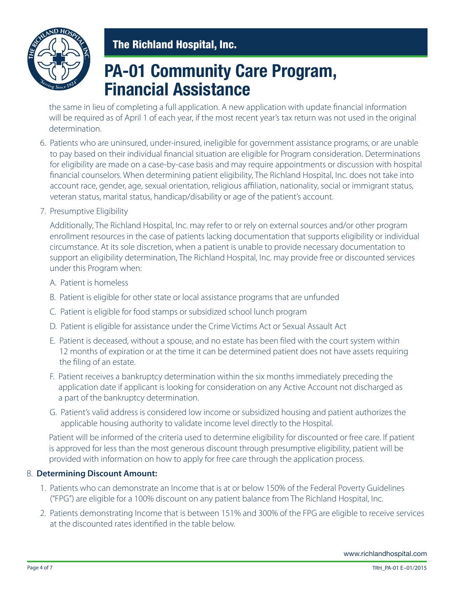

# **PA-01 Community Care Program, Financial Assistance**

 the same in lieu of completing a full application. A new application with update financial information will be required as of April 1 of each year, if the most recent year's tax return was not used in the original determination.

- 6. Patients who are uninsured, under-insured, ineligible for government assistance programs, or are unable to pay based on their individual financial situation are eligible for Program consideration. Determinations for eligibility are made on a case-by-case basis and may require appointments or discussion with hospital financial counselors. When determining patient eligibility, The Richland Hospital, Inc. does not take into account race, gender, age, sexual orientation, religious affiliation, nationality, social or immigrant status, veteran status, marital status, handicap/disability or age of the patient's account.
- 7. Presumptive Eligibility

 Additionally, The Richland Hospital, Inc. may refer to or rely on external sources and/or other program enrollment resources in the case of patients lacking documentation that supports eligibility or individual circumstance. At its sole discretion, when a patient is unable to provide necessary documentation to support an eligibility determination, The Richland Hospital, Inc. may provide free or discounted services under this Program when:

- A. Patient is homeless
- B. Patient is eligible for other state or local assistance programs that are unfunded
- C. Patient is eligible for food stamps or subsidized school lunch program
- D. Patient is eligible for assistance under the Crime Victims Act or Sexual Assault Act
- E. Patient is deceased, without a spouse, and no estate has been filed with the court system within 12 months of expiration or at the time it can be determined patient does not have assets requiring the filing of an estate.
- F. Patient receives a bankruptcy determination within the six months immediately preceding the application date if applicant is looking for consideration on any Active Account not discharged as a part of the bankruptcy determination.
- G. Patient's valid address is considered low income or subsidized housing and patient authorizes the applicable housing authority to validate income level directly to the Hospital.

 Patient will be informed of the criteria used to determine eligibility for discounted or free care. If patient is approved for less than the most generous discount through presumptive eligibility, patient will be provided with information on how to apply for free care through the application process.

#### B. **Determining Discount Amount:**

- 1. Patients who can demonstrate an Income that is at or below 150% of the Federal Poverty Guidelines ("FPG") are eligible for a 100% discount on any patient balance from The Richland Hospital, Inc.
- 2. Patients demonstrating Income that is between 151% and 300% of the FPG are eligible to receive services at the discounted rates identified in the table below.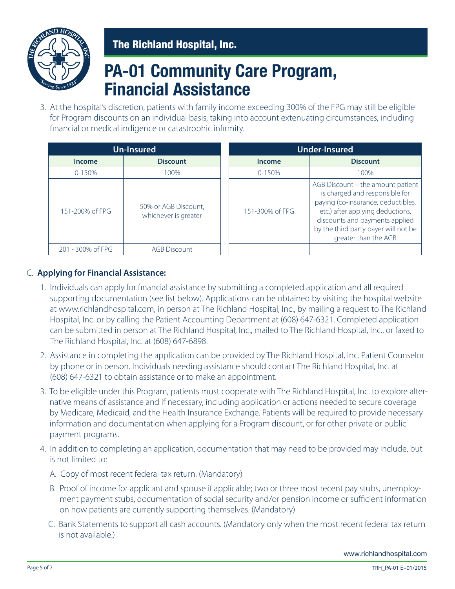

# **PA-01 Community Care Program, Financial Assistance**

3. At the hospital's discretion, patients with family income exceeding 300% of the FPG may still be eligible for Program discounts on an individual basis, taking into account extenuating circumstances, including financial or medical indigence or catastrophic infirmity.

| Un-Insured        |                                              | <b>Under-Insured</b> |                                                                                                                                                                                                                                                 |
|-------------------|----------------------------------------------|----------------------|-------------------------------------------------------------------------------------------------------------------------------------------------------------------------------------------------------------------------------------------------|
| <b>Income</b>     | <b>Discount</b>                              | Income               | <b>Discount</b>                                                                                                                                                                                                                                 |
| $0 - 150%$        | 100%                                         | $0 - 150%$           | 100%                                                                                                                                                                                                                                            |
| 151-200% of FPG   | 50% or AGB Discount,<br>whichever is greater | 151-300% of FPG      | AGB Discount - the amount patient<br>is charged and responsible for<br>paying (co-insurance, deductibles,<br>etc.) after applying deductions,<br>discounts and payments applied<br>by the third party payer will not be<br>greater than the AGB |
| 201 - 300% of FPG | <b>AGB Discount</b>                          |                      |                                                                                                                                                                                                                                                 |

### C. **Applying for Financial Assistance:**

- 1. Individuals can apply for financial assistance by submitting a completed application and all required supporting documentation (see list below). Applications can be obtained by visiting the hospital website at www.richlandhospital.com, in person at The Richland Hospital, Inc., by mailing a request to The Richland Hospital, Inc. or by calling the Patient Accounting Department at (608) 647-6321. Completed application can be submitted in person at The Richland Hospital, Inc., mailed to The Richland Hospital, Inc., or faxed to The Richland Hospital, Inc. at (608) 647-6898.
- 2. Assistance in completing the application can be provided by The Richland Hospital, Inc. Patient Counselor by phone or in person. Individuals needing assistance should contact The Richland Hospital, Inc. at (608) 647-6321 to obtain assistance or to make an appointment.
- 3. To be eligible under this Program, patients must cooperate with The Richland Hospital, Inc. to explore alternative means of assistance and if necessary, including application or actions needed to secure coverage by Medicare, Medicaid, and the Health Insurance Exchange. Patients will be required to provide necessary information and documentation when applying for a Program discount, or for other private or public payment programs.
- 4. In addition to completing an application, documentation that may need to be provided may include, but is not limited to:
	- A. Copy of most recent federal tax return. (Mandatory)
	- B. Proof of income for applicant and spouse if applicable; two or three most recent pay stubs, unemployment payment stubs, documentation of social security and/or pension income or sufficient information on how patients are currently supporting themselves. (Mandatory)
	- C. Bank Statements to support all cash accounts. (Mandatory only when the most recent federal tax return is not available.)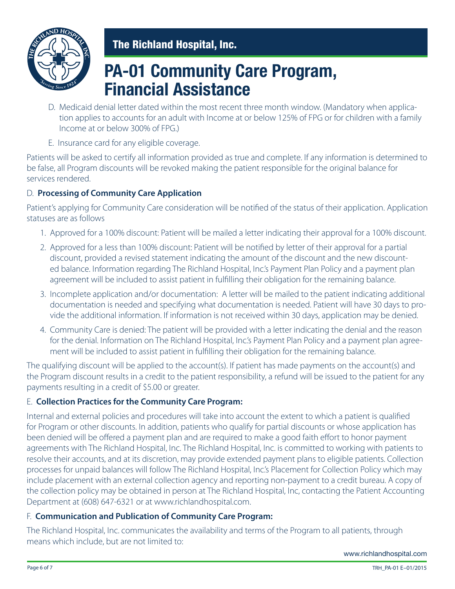

# **PA-01 Community Care Program, Financial Assistance**

- D. Medicaid denial letter dated within the most recent three month window. (Mandatory when application applies to accounts for an adult with Income at or below 125% of FPG or for children with a family Income at or below 300% of FPG.)
- E. Insurance card for any eligible coverage.

Patients will be asked to certify all information provided as true and complete. If any information is determined to be false, all Program discounts will be revoked making the patient responsible for the original balance for services rendered.

### D. **Processing of Community Care Application**

Patient's applying for Community Care consideration will be notified of the status of their application. Application statuses are as follows

- 1. Approved for a 100% discount: Patient will be mailed a letter indicating their approval for a 100% discount.
- 2. Approved for a less than 100% discount: Patient will be notified by letter of their approval for a partial discount, provided a revised statement indicating the amount of the discount and the new discounted balance. Information regarding The Richland Hospital, Inc.'s Payment Plan Policy and a payment plan agreement will be included to assist patient in fulfilling their obligation for the remaining balance.
- 3. Incomplete application and/or documentation: A letter will be mailed to the patient indicating additional documentation is needed and specifying what documentation is needed. Patient will have 30 days to provide the additional information. If information is not received within 30 days, application may be denied.
- 4. Community Care is denied: The patient will be provided with a letter indicating the denial and the reason for the denial. Information on The Richland Hospital, Inc.'s Payment Plan Policy and a payment plan agreement will be included to assist patient in fulfilling their obligation for the remaining balance.

The qualifying discount will be applied to the account(s). If patient has made payments on the account(s) and the Program discount results in a credit to the patient responsibility, a refund will be issued to the patient for any payments resulting in a credit of \$5.00 or greater.

### E. **Collection Practices for the Community Care Program:**

Internal and external policies and procedures will take into account the extent to which a patient is qualified for Program or other discounts. In addition, patients who qualify for partial discounts or whose application has been denied will be offered a payment plan and are required to make a good faith effort to honor payment agreements with The Richland Hospital, Inc. The Richland Hospital, Inc. is committed to working with patients to resolve their accounts, and at its discretion, may provide extended payment plans to eligible patients. Collection processes for unpaid balances will follow The Richland Hospital, Inc.'s Placement for Collection Policy which may include placement with an external collection agency and reporting non-payment to a credit bureau. A copy of the collection policy may be obtained in person at The Richland Hospital, Inc, contacting the Patient Accounting Department at (608) 647-6321 or at www.richlandhospital.com.

### F. **Communication and Publication of Community Care Program:**

The Richland Hospital, Inc. communicates the availability and terms of the Program to all patients, through means which include, but are not limited to: